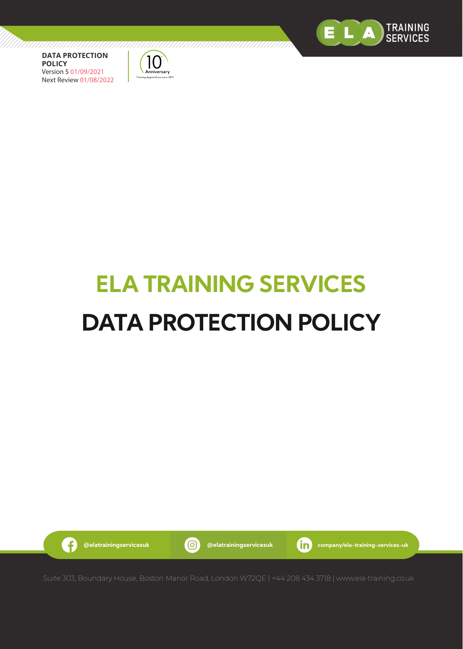



# **ELA TRAINING SERVICES DATA PROTECTION POLICY**

G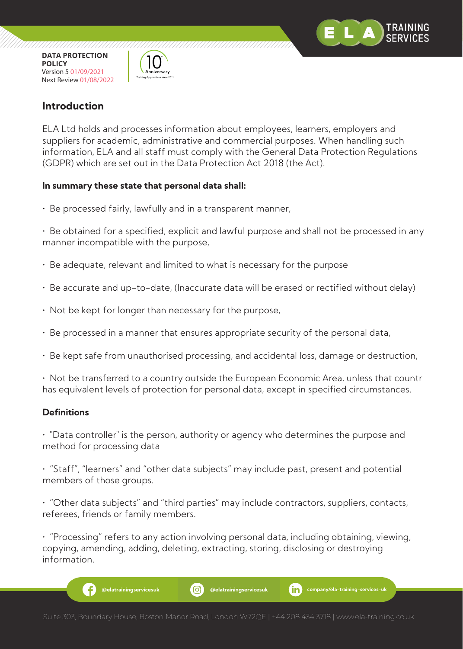

,,,,,,,,,,,,,,,,,,,,,,,,,



,,,,,,,,,,,,,,,,,,,,,,,,

## **Introduction**

ELA Ltd holds and processes information about employees, learners, employers and suppliers for academic, administrative and commercial purposes. When handling such information, ELA and all staff must comply with the General Data Protection Regulations (GDPR) which are set out in the Data Protection Act 2018 (the Act).

#### **In summary these state that personal data shall:**

• Be processed fairly, lawfully and in a transparent manner,

• Be obtained for a specified, explicit and lawful purpose and shall not be processed in any manner incompatible with the purpose,

- Be adequate, relevant and limited to what is necessary for the purpose
- Be accurate and up-to-date, (Inaccurate data will be erased or rectified without delay)
- Not be kept for longer than necessary for the purpose,
- Be processed in a manner that ensures appropriate security of the personal data,
- Be kept safe from unauthorised processing, and accidental loss, damage or destruction,
- Not be transferred to a country outside the European Economic Area, unless that countr has equivalent levels of protection for personal data, except in specified circumstances.

#### **Definitions**

• "Data controller" is the person, authority or agency who determines the purpose and method for processing data

• "Staff", "learners" and "other data subjects" may include past, present and potential members of those groups.

• "Other data subjects" and "third parties" may include contractors, suppliers, contacts, referees, friends or family members.

• "Processing" refers to any action involving personal data, including obtaining, viewing, copying, amending, adding, deleting, extracting, storing, disclosing or destroying information.

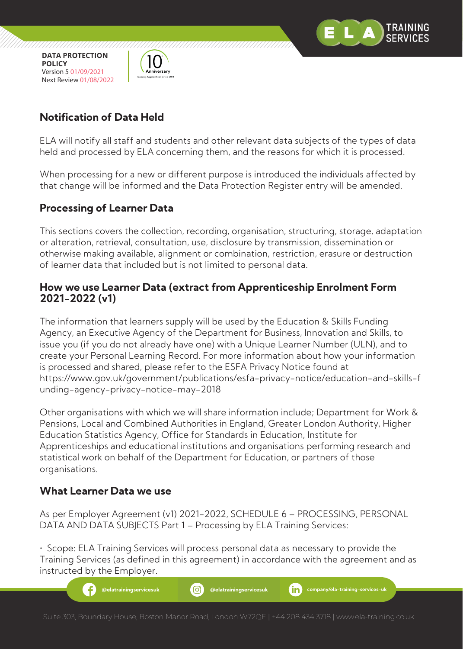

,,,,,,,,,,,,,,,,,,,,,,,,,,,,,,



7777777777777777777777

# **Notification of Data Held**

ELA will notify all staff and students and other relevant data subjects of the types of data held and processed by ELA concerning them, and the reasons for which it is processed.

When processing for a new or different purpose is introduced the individuals affected by that change will be informed and the Data Protection Register entry will be amended.

## **Processing of Learner Data**

This sections covers the collection, recording, organisation, structuring, storage, adaptation or alteration, retrieval, consultation, use, disclosure by transmission, dissemination or otherwise making available, alignment or combination, restriction, erasure or destruction of learner data that included but is not limited to personal data.

## **How we use Learner Data (extract from Apprenticeship Enrolment Form 2021-2022 (v1)**

The information that learners supply will be used by the Education & Skills Funding Agency, an Executive Agency of the Department for Business, Innovation and Skills, to issue you (if you do not already have one) with a Unique Learner Number (ULN), and to create your Personal Learning Record. For more information about how your information is processed and shared, please refer to the ESFA Privacy Notice found at https://www.gov.uk/government/publications/esfa-privacy-notice/education-and-skills-f unding-agency-privacy-notice-may-2018

Other organisations with which we will share information include; Department for Work & Pensions, Local and Combined Authorities in England, Greater London Authority, Higher Education Statistics Agency, Office for Standards in Education, Institute for Apprenticeships and educational institutions and organisations performing research and statistical work on behalf of the Department for Education, or partners of those organisations.

## **What Learner Data we use**

As per Employer Agreement (v1) 2021-2022, SCHEDULE 6 – PROCESSING, PERSONAL DATA AND DATA SUBJECTS Part 1 – Processing by ELA Training Services:

• Scope: ELA Training Services will process personal data as necessary to provide the Training Services (as defined in this agreement) in accordance with the agreement and as instructed by the Employer.

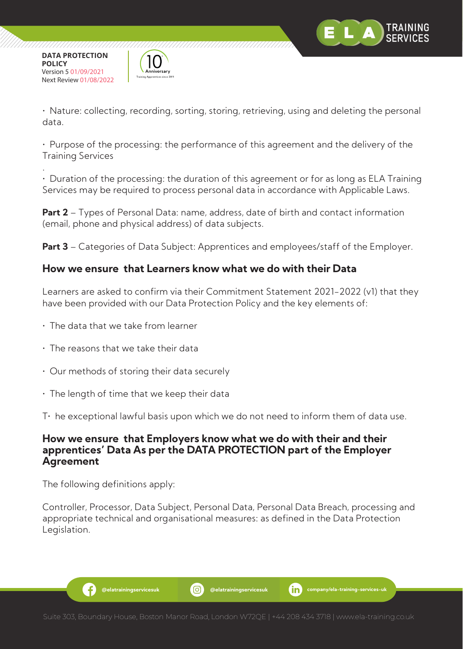

,,,,,,,,,,,,,,,,,,,,,,,,



• Nature: collecting, recording, sorting, storing, retrieving, using and deleting the personal data.

• Purpose of the processing: the performance of this agreement and the delivery of the Training Services

. • Duration of the processing: the duration of this agreement or for as long as ELA Training Services may be required to process personal data in accordance with Applicable Laws.

**Part 2** – Types of Personal Data: name, address, date of birth and contact information (email, phone and physical address) of data subjects.

**Part 3** – Categories of Data Subject: Apprentices and employees/staff of the Employer.

## **How we ensure that Learners know what we do with their Data**

Learners are asked to confirm via their Commitment Statement 2021-2022 (v1) that they have been provided with our Data Protection Policy and the key elements of:

- The data that we take from learner
- The reasons that we take their data
- Our methods of storing their data securely
- The length of time that we keep their data
- $T<sup>+</sup>$  he exceptional lawful basis upon which we do not need to inform them of data use.

## **How we ensure that Employers know what we do with their and their apprentices' Data As per the DATA PROTECTION part of the Employer Agreement**

The following definitions apply:

.G

Controller, Processor, Data Subject, Personal Data, Personal Data Breach, processing and appropriate technical and organisational measures: as defined in the Data Protection Legislation.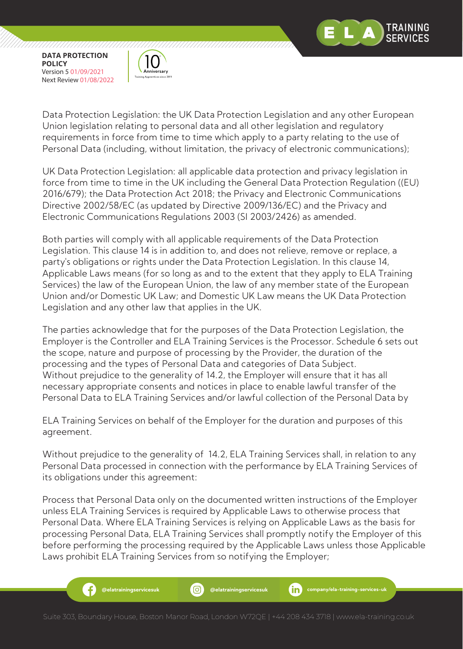

,,,,,,,,,,,,,,,,,,,,,,,,,,,,,,



Data Protection Legislation: the UK Data Protection Legislation and any other European Union legislation relating to personal data and all other legislation and regulatory requirements in force from time to time which apply to a party relating to the use of Personal Data (including, without limitation, the privacy of electronic communications);

UK Data Protection Legislation: all applicable data protection and privacy legislation in force from time to time in the UK including the General Data Protection Regulation ((EU) 2016/679); the Data Protection Act 2018; the Privacy and Electronic Communications Directive 2002/58/EC (as updated by Directive 2009/136/EC) and the Privacy and Electronic Communications Regulations 2003 (SI 2003/2426) as amended.

Both parties will comply with all applicable requirements of the Data Protection Legislation. This clause 14 is in addition to, and does not relieve, remove or replace, a party's obligations or rights under the Data Protection Legislation. In this clause 14, Applicable Laws means (for so long as and to the extent that they apply to ELA Training Services) the law of the European Union, the law of any member state of the European Union and/or Domestic UK Law; and Domestic UK Law means the UK Data Protection Legislation and any other law that applies in the UK.

The parties acknowledge that for the purposes of the Data Protection Legislation, the Employer is the Controller and ELA Training Services is the Processor. Schedule 6 sets out the scope, nature and purpose of processing by the Provider, the duration of the processing and the types of Personal Data and categories of Data Subject. Without prejudice to the generality of 14.2, the Employer will ensure that it has all necessary appropriate consents and notices in place to enable lawful transfer of the Personal Data to ELA Training Services and/or lawful collection of the Personal Data by

ELA Training Services on behalf of the Employer for the duration and purposes of this agreement.

Without prejudice to the generality of 14.2, ELA Training Services shall, in relation to any Personal Data processed in connection with the performance by ELA Training Services of its obligations under this agreement:

Process that Personal Data only on the documented written instructions of the Employer unless ELA Training Services is required by Applicable Laws to otherwise process that Personal Data. Where ELA Training Services is relying on Applicable Laws as the basis for processing Personal Data, ELA Training Services shall promptly notify the Employer of this before performing the processing required by the Applicable Laws unless those Applicable Laws prohibit ELA Training Services from so notifying the Employer;

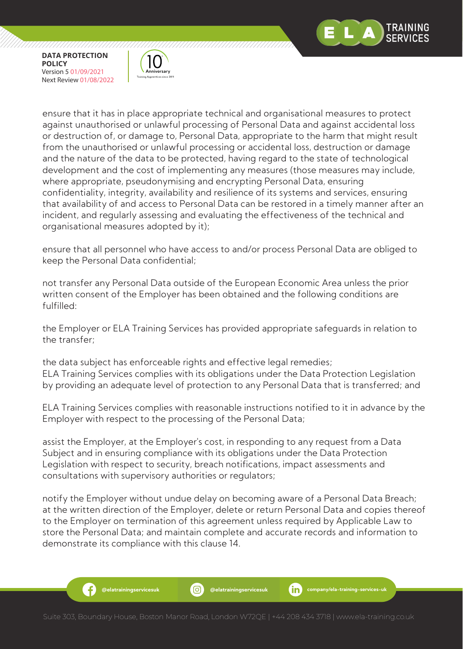

Ð

,,,,,,,,,,,,,,,,,,,,,,,,,,,,,,



ensure that it has in place appropriate technical and organisational measures to protect against unauthorised or unlawful processing of Personal Data and against accidental loss or destruction of, or damage to, Personal Data, appropriate to the harm that might result from the unauthorised or unlawful processing or accidental loss, destruction or damage and the nature of the data to be protected, having regard to the state of technological development and the cost of implementing any measures (those measures may include, where appropriate, pseudonymising and encrypting Personal Data, ensuring confidentiality, integrity, availability and resilience of its systems and services, ensuring that availability of and access to Personal Data can be restored in a timely manner after an incident, and regularly assessing and evaluating the effectiveness of the technical and organisational measures adopted by it);

ensure that all personnel who have access to and/or process Personal Data are obliged to keep the Personal Data confidential;

not transfer any Personal Data outside of the European Economic Area unless the prior written consent of the Employer has been obtained and the following conditions are fulfilled:

the Employer or ELA Training Services has provided appropriate safeguards in relation to the transfer;

the data subject has enforceable rights and effective legal remedies; ELA Training Services complies with its obligations under the Data Protection Legislation by providing an adequate level of protection to any Personal Data that is transferred; and

ELA Training Services complies with reasonable instructions notified to it in advance by the Employer with respect to the processing of the Personal Data;

assist the Employer, at the Employer's cost, in responding to any request from a Data Subject and in ensuring compliance with its obligations under the Data Protection Legislation with respect to security, breach notifications, impact assessments and consultations with supervisory authorities or regulators;

notify the Employer without undue delay on becoming aware of a Personal Data Breach; at the written direction of the Employer, delete or return Personal Data and copies thereof to the Employer on termination of this agreement unless required by Applicable Law to store the Personal Data; and maintain complete and accurate records and information to demonstrate its compliance with this clause 14.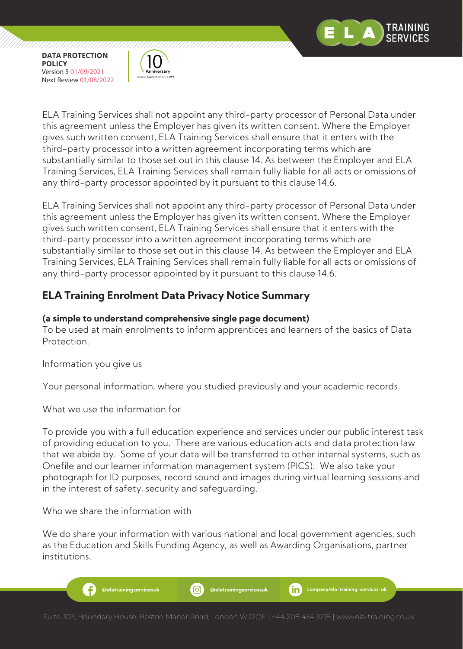

,,,,,,,,,,,,,,,,,,,,,,,,,,,,,



ELA Training Services shall not appoint any third-party processor of Personal Data under this agreement unless the Employer has given its written consent. Where the Employer gives such written consent, ELA Training Services shall ensure that it enters with the third-party processor into a written agreement incorporating terms which are substantially similar to those set out in this clause 14. As between the Employer and ELA Training Services, ELA Training Services shall remain fully liable for all acts or omissions of any third-party processor appointed by it pursuant to this clause 14.6.

ELA Training Services shall not appoint any third-party processor of Personal Data under this agreement unless the Employer has given its written consent. Where the Employer gives such written consent, ELA Training Services shall ensure that it enters with the third-party processor into a written agreement incorporating terms which are substantially similar to those set out in this clause 14. As between the Employer and ELA Training Services, ELA Training Services shall remain fully liable for all acts or omissions of any third-party processor appointed by it pursuant to this clause 14.6.

# **ELA Training Enrolment Data Privacy Notice Summary**

#### **(a simple to understand comprehensive single page document)**

To be used at main enrolments to inform apprentices and learners of the basics of Data Protection.

Information you give us

Your personal information, where you studied previously and your academic records.

What we use the information for

To provide you with a full education experience and services under our public interest task of providing education to you. There are various education acts and data protection law that we abide by. Some of your data will be transferred to other internal systems, such as Onefile and our learner information management system (PICS). We also take your photograph for ID purposes, record sound and images during virtual learning sessions and in the interest of safety, security and safeguarding.

Who we share the information with

We do share your information with various national and local government agencies, such as the Education and Skills Funding Agency, as well as Awarding Organisations, partner institutions.

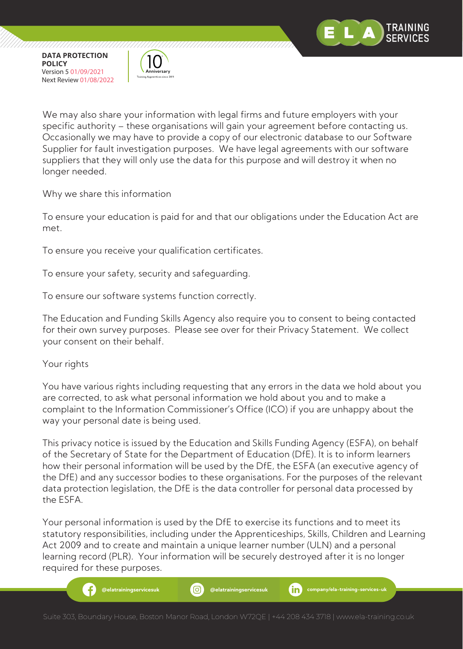

,,,,,,,,,,,,,,,,,,,,,,,,,,,,,,



We may also share your information with legal firms and future employers with your specific authority – these organisations will gain your agreement before contacting us. Occasionally we may have to provide a copy of our electronic database to our Software Supplier for fault investigation purposes. We have legal agreements with our software suppliers that they will only use the data for this purpose and will destroy it when no longer needed.

Why we share this information

To ensure your education is paid for and that our obligations under the Education Act are met.

To ensure you receive your qualification certificates.

To ensure your safety, security and safeguarding.

To ensure our software systems function correctly.

The Education and Funding Skills Agency also require you to consent to being contacted for their own survey purposes. Please see over for their Privacy Statement. We collect your consent on their behalf.

Your rights

You have various rights including requesting that any errors in the data we hold about you are corrected, to ask what personal information we hold about you and to make a complaint to the Information Commissioner's Office (ICO) if you are unhappy about the way your personal date is being used.

This privacy notice is issued by the Education and Skills Funding Agency (ESFA), on behalf of the Secretary of State for the Department of Education (DfE). It is to inform learners how their personal information will be used by the DfE, the ESFA (an executive agency of the DfE) and any successor bodies to these organisations. For the purposes of the relevant data protection legislation, the DfE is the data controller for personal data processed by the ESFA.

Your personal information is used by the DfE to exercise its functions and to meet its statutory responsibilities, including under the Apprenticeships, Skills, Children and Learning Act 2009 and to create and maintain a unique learner number (ULN) and a personal learning record (PLR). Your information will be securely destroyed after it is no longer required for these purposes.

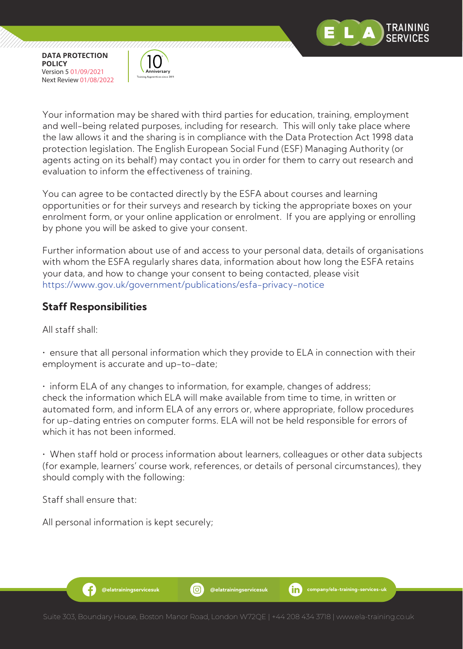

,,,,,,,,,,,,,,,,,,,,,,,,,,,,,



Your information may be shared with third parties for education, training, employment and well-being related purposes, including for research. This will only take place where the law allows it and the sharing is in compliance with the Data Protection Act 1998 data protection legislation. The English European Social Fund (ESF) Managing Authority (or agents acting on its behalf) may contact you in order for them to carry out research and evaluation to inform the effectiveness of training.

You can agree to be contacted directly by the ESFA about courses and learning opportunities or for their surveys and research by ticking the appropriate boxes on your enrolment form, or your online application or enrolment. If you are applying or enrolling by phone you will be asked to give your consent.

Further information about use of and access to your personal data, details of organisations with whom the ESFA regularly shares data, information about how long the ESFA retains your data, and how to change your consent to being contacted, please visit https://www.gov.uk/government/publications/esfa-privacy-notice

## **Staff Responsibilities**

All staff shall:

• ensure that all personal information which they provide to ELA in connection with their employment is accurate and up-to-date;

• inform ELA of any changes to information, for example, changes of address; check the information which ELA will make available from time to time, in written or automated form, and inform ELA of any errors or, where appropriate, follow procedures for up-dating entries on computer forms. ELA will not be held responsible for errors of which it has not been informed.

• When staff hold or process information about learners, colleagues or other data subjects (for example, learners' course work, references, or details of personal circumstances), they should comply with the following:

Staff shall ensure that:

Æ

All personal information is kept securely;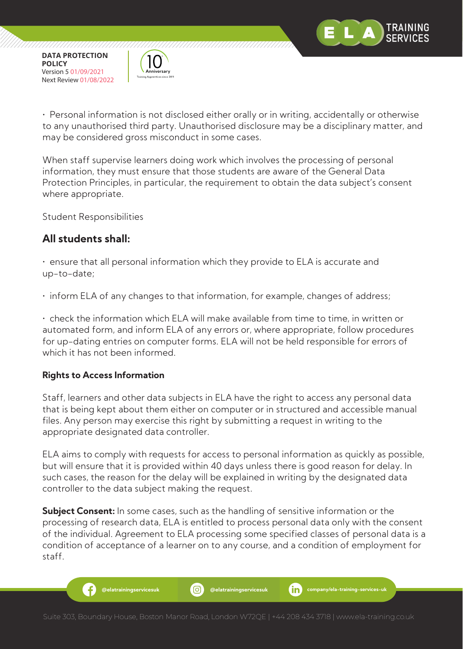

,,,,,,,,,,,,,,,,,,,,,,,,,,,,,,



,,,,,,,,,,,,,,,,,,,,,,,

• Personal information is not disclosed either orally or in writing, accidentally or otherwise to any unauthorised third party. Unauthorised disclosure may be a disciplinary matter, and may be considered gross misconduct in some cases.

When staff supervise learners doing work which involves the processing of personal information, they must ensure that those students are aware of the General Data Protection Principles, in particular, the requirement to obtain the data subject's consent where appropriate.

Student Responsibilities

## **All students shall:**

• ensure that all personal information which they provide to ELA is accurate and up-to-date;

• inform ELA of any changes to that information, for example, changes of address;

• check the information which ELA will make available from time to time, in written or automated form, and inform ELA of any errors or, where appropriate, follow procedures for up-dating entries on computer forms. ELA will not be held responsible for errors of which it has not been informed.

### **Rights to Access Information**

Ð

Staff, learners and other data subjects in ELA have the right to access any personal data that is being kept about them either on computer or in structured and accessible manual files. Any person may exercise this right by submitting a request in writing to the appropriate designated data controller.

ELA aims to comply with requests for access to personal information as quickly as possible, but will ensure that it is provided within 40 days unless there is good reason for delay. In such cases, the reason for the delay will be explained in writing by the designated data controller to the data subject making the request.

**Subject Consent:** In some cases, such as the handling of sensitive information or the processing of research data, ELA is entitled to process personal data only with the consent of the individual. Agreement to ELA processing some specified classes of personal data is a condition of acceptance of a learner on to any course, and a condition of employment for staff.